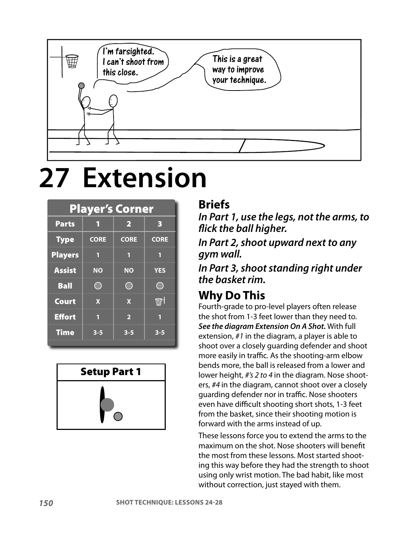

# **27 Extension**

| <b>Player's Corner</b> |             |                         |                          |
|------------------------|-------------|-------------------------|--------------------------|
| <b>Parts</b>           | 1           | $\overline{\mathbf{2}}$ | з                        |
| <b>Type</b>            | <b>CORE</b> | <b>CORE</b>             | <b>CORE</b>              |
| <b>Players</b>         | П           | П                       | ٢                        |
| <b>Assist</b>          | <b>NO</b>   | $\overline{N}$ O        | <b>YES</b>               |
| <b>Ball</b>            |             |                         |                          |
| <b>Court</b>           | $\mathbf x$ | $\mathbf x$             | $\widehat{\mathbb{H}}$ . |
| <b>Effort</b>          | П           | $\overline{\mathbf{2}}$ | ſ                        |
| <b>Time</b>            | $3 - 5$     | $3 - 5$                 | $3 - 5$                  |
|                        |             |                         |                          |



#### **Briefs**

**In Part 1, use the legs, not the arms, to flick the ball higher.**

**In Part 2, shoot upward next to any gym wall.**

**In Part 3, shoot standing right under the basket rim.**

#### **Why Do This**

Fourth-grade to pro-level players often release the shot from 1-3 feet lower than they need to. **See the diagram Extension On A Shot.** With full extension, #1 in the diagram, a player is able to shoot over a closely guarding defender and shoot more easily in traffic. As the shooting-arm elbow bends more, the ball is released from a lower and lower height, #'s 2 to 4 in the diagram. Nose shooters, #4 in the diagram, cannot shoot over a closely guarding defender nor in traffic. Nose shooters even have difficult shooting short shots, 1-3 feet from the basket, since their shooting motion is forward with the arms instead of up.

These lessons force you to extend the arms to the maximum on the shot. Nose shooters will benefit the most from these lessons. Most started shooting this way before they had the strength to shoot using only wrist motion. The bad habit, like most without correction, just stayed with them.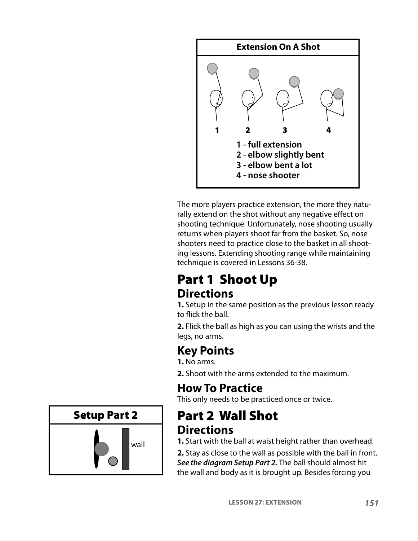

The more players practice extension, the more they naturally extend on the shot without any negative effect on shooting technique. Unfortunately, nose shooting usually returns when players shoot far from the basket. So, nose shooters need to practice close to the basket in all shooting lessons. Extending shooting range while maintaining technique is covered in Lessons 36-38.

# Part 1 Shoot Up **Directions**

**1.** Setup in the same position as the previous lesson ready to flick the ball.

**2.** Flick the ball as high as you can using the wrists and the legs, no arms.

# **Key Points**

- **1.** No arms.
- **2.** Shoot with the arms extended to the maximum.

# **How To Practice**

This only needs to be practiced once or twice.

# Part 2 Wall Shot **Directions**

**1.** Start with the ball at waist height rather than overhead.

**2.** Stay as close to the wall as possible with the ball in front. **See the diagram Setup Part 2.** The ball should almost hit the wall and body as it is brought up. Besides forcing you